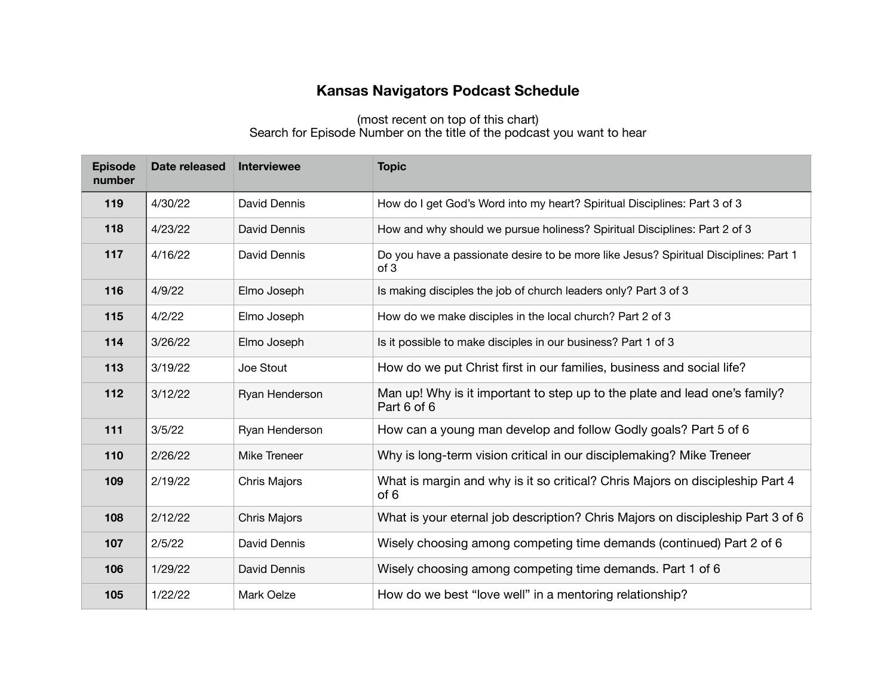## **Kansas Navigators Podcast Schedule**

## (most recent on top of this chart) Search for Episode Number on the title of the podcast you want to hear

| <b>Episode</b><br>number | Date released | <b>Interviewee</b>  | <b>Topic</b>                                                                                 |
|--------------------------|---------------|---------------------|----------------------------------------------------------------------------------------------|
| 119                      | 4/30/22       | David Dennis        | How do I get God's Word into my heart? Spiritual Disciplines: Part 3 of 3                    |
| 118                      | 4/23/22       | David Dennis        | How and why should we pursue holiness? Spiritual Disciplines: Part 2 of 3                    |
| 117                      | 4/16/22       | David Dennis        | Do you have a passionate desire to be more like Jesus? Spiritual Disciplines: Part 1<br>of 3 |
| 116                      | 4/9/22        | Elmo Joseph         | Is making disciples the job of church leaders only? Part 3 of 3                              |
| 115                      | 4/2/22        | Elmo Joseph         | How do we make disciples in the local church? Part 2 of 3                                    |
| 114                      | 3/26/22       | Elmo Joseph         | Is it possible to make disciples in our business? Part 1 of 3                                |
| 113                      | 3/19/22       | Joe Stout           | How do we put Christ first in our families, business and social life?                        |
| 112                      | 3/12/22       | Ryan Henderson      | Man up! Why is it important to step up to the plate and lead one's family?<br>Part 6 of 6    |
| 111                      | 3/5/22        | Ryan Henderson      | How can a young man develop and follow Godly goals? Part 5 of 6                              |
| 110                      | 2/26/22       | Mike Treneer        | Why is long-term vision critical in our disciplemaking? Mike Treneer                         |
| 109                      | 2/19/22       | Chris Majors        | What is margin and why is it so critical? Chris Majors on discipleship Part 4<br>of 6        |
| 108                      | 2/12/22       | <b>Chris Majors</b> | What is your eternal job description? Chris Majors on discipleship Part 3 of 6               |
| 107                      | 2/5/22        | David Dennis        | Wisely choosing among competing time demands (continued) Part 2 of 6                         |
| 106                      | 1/29/22       | David Dennis        | Wisely choosing among competing time demands. Part 1 of 6                                    |
| 105                      | 1/22/22       | Mark Oelze          | How do we best "love well" in a mentoring relationship?                                      |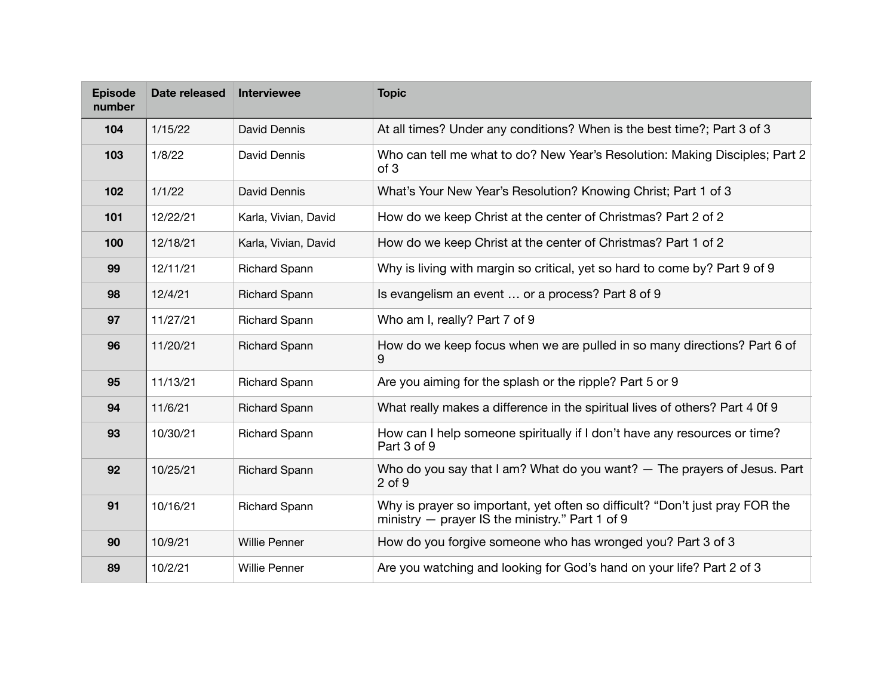| <b>Episode</b><br>number | Date released | Interviewee          | <b>Topic</b>                                                                                                                    |
|--------------------------|---------------|----------------------|---------------------------------------------------------------------------------------------------------------------------------|
| 104                      | 1/15/22       | David Dennis         | At all times? Under any conditions? When is the best time?; Part 3 of 3                                                         |
| 103                      | 1/8/22        | David Dennis         | Who can tell me what to do? New Year's Resolution: Making Disciples; Part 2<br>of 3                                             |
| 102                      | 1/1/22        | David Dennis         | What's Your New Year's Resolution? Knowing Christ; Part 1 of 3                                                                  |
| 101                      | 12/22/21      | Karla, Vivian, David | How do we keep Christ at the center of Christmas? Part 2 of 2                                                                   |
| 100                      | 12/18/21      | Karla, Vivian, David | How do we keep Christ at the center of Christmas? Part 1 of 2                                                                   |
| 99                       | 12/11/21      | <b>Richard Spann</b> | Why is living with margin so critical, yet so hard to come by? Part 9 of 9                                                      |
| 98                       | 12/4/21       | <b>Richard Spann</b> | Is evangelism an event  or a process? Part 8 of 9                                                                               |
| 97                       | 11/27/21      | <b>Richard Spann</b> | Who am I, really? Part 7 of 9                                                                                                   |
| 96                       | 11/20/21      | <b>Richard Spann</b> | How do we keep focus when we are pulled in so many directions? Part 6 of<br>9                                                   |
| 95                       | 11/13/21      | <b>Richard Spann</b> | Are you aiming for the splash or the ripple? Part 5 or 9                                                                        |
| 94                       | 11/6/21       | <b>Richard Spann</b> | What really makes a difference in the spiritual lives of others? Part 4 0f 9                                                    |
| 93                       | 10/30/21      | <b>Richard Spann</b> | How can I help someone spiritually if I don't have any resources or time?<br>Part 3 of 9                                        |
| 92                       | 10/25/21      | <b>Richard Spann</b> | Who do you say that I am? What do you want? — The prayers of Jesus. Part<br>2 of 9                                              |
| 91                       | 10/16/21      | <b>Richard Spann</b> | Why is prayer so important, yet often so difficult? "Don't just pray FOR the<br>ministry - prayer IS the ministry." Part 1 of 9 |
| 90                       | 10/9/21       | <b>Willie Penner</b> | How do you forgive someone who has wronged you? Part 3 of 3                                                                     |
| 89                       | 10/2/21       | <b>Willie Penner</b> | Are you watching and looking for God's hand on your life? Part 2 of 3                                                           |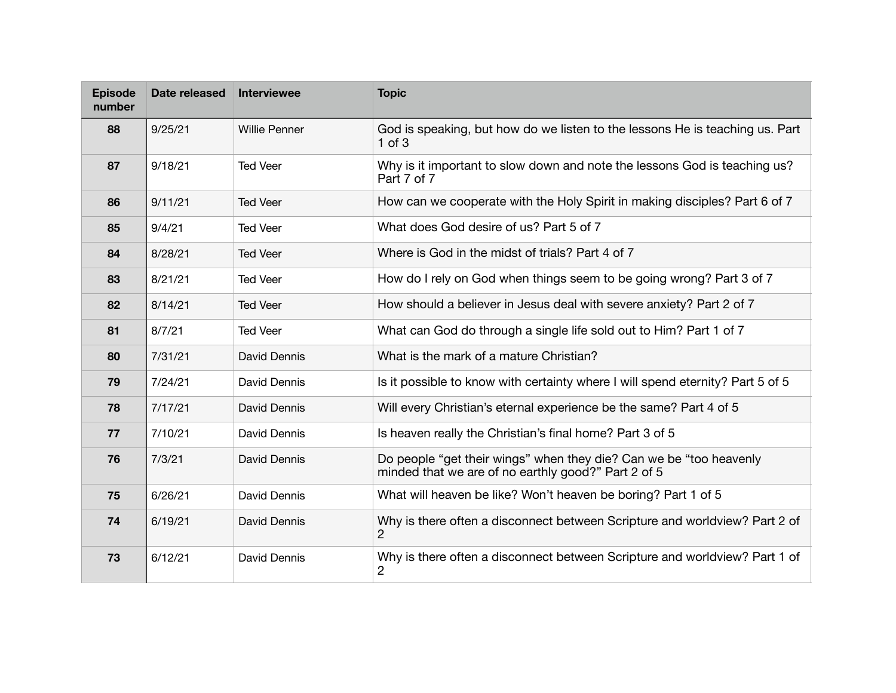| <b>Episode</b><br>number | Date released | <b>Interviewee</b>   | <b>Topic</b>                                                                                                              |
|--------------------------|---------------|----------------------|---------------------------------------------------------------------------------------------------------------------------|
| 88                       | 9/25/21       | <b>Willie Penner</b> | God is speaking, but how do we listen to the lessons He is teaching us. Part<br>$1$ of $3$                                |
| 87                       | 9/18/21       | <b>Ted Veer</b>      | Why is it important to slow down and note the lessons God is teaching us?<br>Part 7 of 7                                  |
| 86                       | 9/11/21       | <b>Ted Veer</b>      | How can we cooperate with the Holy Spirit in making disciples? Part 6 of 7                                                |
| 85                       | 9/4/21        | <b>Ted Veer</b>      | What does God desire of us? Part 5 of 7                                                                                   |
| 84                       | 8/28/21       | <b>Ted Veer</b>      | Where is God in the midst of trials? Part 4 of 7                                                                          |
| 83                       | 8/21/21       | <b>Ted Veer</b>      | How do I rely on God when things seem to be going wrong? Part 3 of 7                                                      |
| 82                       | 8/14/21       | <b>Ted Veer</b>      | How should a believer in Jesus deal with severe anxiety? Part 2 of 7                                                      |
| 81                       | 8/7/21        | <b>Ted Veer</b>      | What can God do through a single life sold out to Him? Part 1 of 7                                                        |
| 80                       | 7/31/21       | David Dennis         | What is the mark of a mature Christian?                                                                                   |
| 79                       | 7/24/21       | David Dennis         | Is it possible to know with certainty where I will spend eternity? Part 5 of 5                                            |
| 78                       | 7/17/21       | David Dennis         | Will every Christian's eternal experience be the same? Part 4 of 5                                                        |
| 77                       | 7/10/21       | David Dennis         | Is heaven really the Christian's final home? Part 3 of 5                                                                  |
| 76                       | 7/3/21        | David Dennis         | Do people "get their wings" when they die? Can we be "too heavenly<br>minded that we are of no earthly good?" Part 2 of 5 |
| 75                       | 6/26/21       | David Dennis         | What will heaven be like? Won't heaven be boring? Part 1 of 5                                                             |
| 74                       | 6/19/21       | David Dennis         | Why is there often a disconnect between Scripture and worldview? Part 2 of<br>2                                           |
| 73                       | 6/12/21       | David Dennis         | Why is there often a disconnect between Scripture and worldview? Part 1 of<br>2                                           |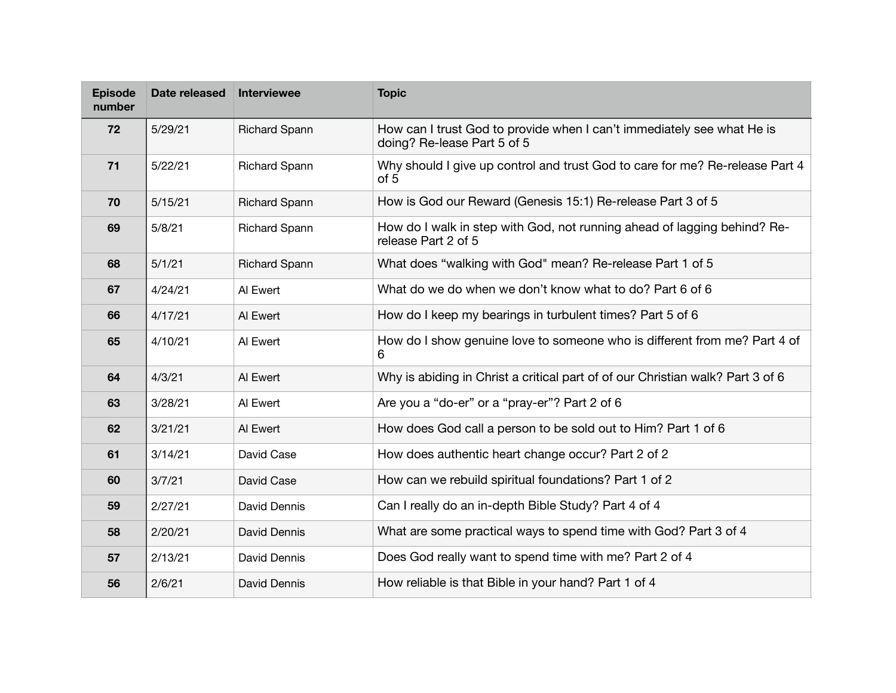| <b>Episode</b><br>number | Date released | <b>Interviewee</b>   | <b>Topic</b>                                                                                          |
|--------------------------|---------------|----------------------|-------------------------------------------------------------------------------------------------------|
| 72                       | 5/29/21       | <b>Richard Spann</b> | How can I trust God to provide when I can't immediately see what He is<br>doing? Re-lease Part 5 of 5 |
| 71                       | 5/22/21       | <b>Richard Spann</b> | Why should I give up control and trust God to care for me? Re-release Part 4<br>of 5                  |
| 70                       | 5/15/21       | <b>Richard Spann</b> | How is God our Reward (Genesis 15:1) Re-release Part 3 of 5                                           |
| 69                       | 5/8/21        | <b>Richard Spann</b> | How do I walk in step with God, not running ahead of lagging behind? Re-<br>release Part 2 of 5       |
| 68                       | 5/1/21        | <b>Richard Spann</b> | What does "walking with God" mean? Re-release Part 1 of 5                                             |
| 67                       | 4/24/21       | Al Ewert             | What do we do when we don't know what to do? Part 6 of 6                                              |
| 66                       | 4/17/21       | Al Ewert             | How do I keep my bearings in turbulent times? Part 5 of 6                                             |
| 65                       | 4/10/21       | Al Ewert             | How do I show genuine love to someone who is different from me? Part 4 of<br>6                        |
| 64                       | 4/3/21        | Al Ewert             | Why is abiding in Christ a critical part of of our Christian walk? Part 3 of 6                        |
| 63                       | 3/28/21       | Al Ewert             | Are you a "do-er" or a "pray-er"? Part 2 of 6                                                         |
| 62                       | 3/21/21       | Al Ewert             | How does God call a person to be sold out to Him? Part 1 of 6                                         |
| 61                       | 3/14/21       | David Case           | How does authentic heart change occur? Part 2 of 2                                                    |
| 60                       | 3/7/21        | David Case           | How can we rebuild spiritual foundations? Part 1 of 2                                                 |
| 59                       | 2/27/21       | David Dennis         | Can I really do an in-depth Bible Study? Part 4 of 4                                                  |
| 58                       | 2/20/21       | David Dennis         | What are some practical ways to spend time with God? Part 3 of 4                                      |
| 57                       | 2/13/21       | David Dennis         | Does God really want to spend time with me? Part 2 of 4                                               |
| 56                       | 2/6/21        | David Dennis         | How reliable is that Bible in your hand? Part 1 of 4                                                  |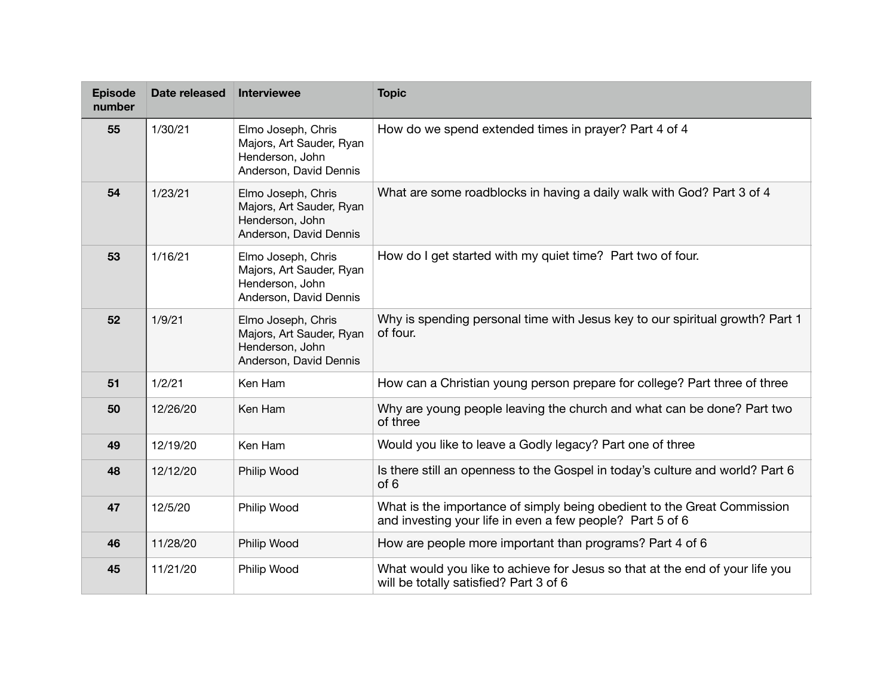| <b>Episode</b><br>number | Date released | <b>Interviewee</b>                                                                          | <b>Topic</b>                                                                                                                         |
|--------------------------|---------------|---------------------------------------------------------------------------------------------|--------------------------------------------------------------------------------------------------------------------------------------|
| 55                       | 1/30/21       | Elmo Joseph, Chris<br>Majors, Art Sauder, Ryan<br>Henderson, John<br>Anderson, David Dennis | How do we spend extended times in prayer? Part 4 of 4                                                                                |
| 54                       | 1/23/21       | Elmo Joseph, Chris<br>Majors, Art Sauder, Ryan<br>Henderson, John<br>Anderson, David Dennis | What are some roadblocks in having a daily walk with God? Part 3 of 4                                                                |
| 53                       | 1/16/21       | Elmo Joseph, Chris<br>Majors, Art Sauder, Ryan<br>Henderson, John<br>Anderson, David Dennis | How do I get started with my quiet time? Part two of four.                                                                           |
| 52                       | 1/9/21        | Elmo Joseph, Chris<br>Majors, Art Sauder, Ryan<br>Henderson, John<br>Anderson, David Dennis | Why is spending personal time with Jesus key to our spiritual growth? Part 1<br>of four.                                             |
| 51                       | 1/2/21        | Ken Ham                                                                                     | How can a Christian young person prepare for college? Part three of three                                                            |
| 50                       | 12/26/20      | Ken Ham                                                                                     | Why are young people leaving the church and what can be done? Part two<br>of three                                                   |
| 49                       | 12/19/20      | Ken Ham                                                                                     | Would you like to leave a Godly legacy? Part one of three                                                                            |
| 48                       | 12/12/20      | Philip Wood                                                                                 | Is there still an openness to the Gospel in today's culture and world? Part 6<br>of 6                                                |
| 47                       | 12/5/20       | Philip Wood                                                                                 | What is the importance of simply being obedient to the Great Commission<br>and investing your life in even a few people? Part 5 of 6 |
| 46                       | 11/28/20      | Philip Wood                                                                                 | How are people more important than programs? Part 4 of 6                                                                             |
| 45                       | 11/21/20      | Philip Wood                                                                                 | What would you like to achieve for Jesus so that at the end of your life you<br>will be totally satisfied? Part 3 of 6               |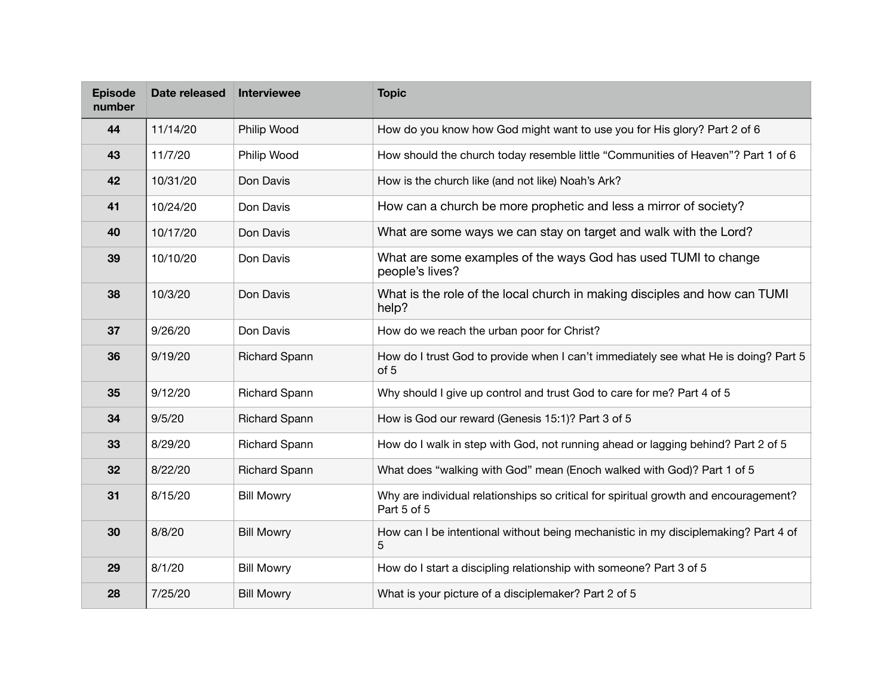| <b>Episode</b><br>number | Date released | Interviewee          | <b>Topic</b>                                                                                        |
|--------------------------|---------------|----------------------|-----------------------------------------------------------------------------------------------------|
| 44                       | 11/14/20      | Philip Wood          | How do you know how God might want to use you for His glory? Part 2 of 6                            |
| 43                       | 11/7/20       | Philip Wood          | How should the church today resemble little "Communities of Heaven"? Part 1 of 6                    |
| 42                       | 10/31/20      | Don Davis            | How is the church like (and not like) Noah's Ark?                                                   |
| 41                       | 10/24/20      | Don Davis            | How can a church be more prophetic and less a mirror of society?                                    |
| 40                       | 10/17/20      | Don Davis            | What are some ways we can stay on target and walk with the Lord?                                    |
| 39                       | 10/10/20      | Don Davis            | What are some examples of the ways God has used TUMI to change<br>people's lives?                   |
| 38                       | 10/3/20       | Don Davis            | What is the role of the local church in making disciples and how can TUMI<br>help?                  |
| 37                       | 9/26/20       | Don Davis            | How do we reach the urban poor for Christ?                                                          |
| 36                       | 9/19/20       | <b>Richard Spann</b> | How do I trust God to provide when I can't immediately see what He is doing? Part 5<br>of 5         |
| 35                       | 9/12/20       | <b>Richard Spann</b> | Why should I give up control and trust God to care for me? Part 4 of 5                              |
| 34                       | 9/5/20        | <b>Richard Spann</b> | How is God our reward (Genesis 15:1)? Part 3 of 5                                                   |
| 33                       | 8/29/20       | <b>Richard Spann</b> | How do I walk in step with God, not running ahead or lagging behind? Part 2 of 5                    |
| 32                       | 8/22/20       | <b>Richard Spann</b> | What does "walking with God" mean (Enoch walked with God)? Part 1 of 5                              |
| 31                       | 8/15/20       | <b>Bill Mowry</b>    | Why are individual relationships so critical for spiritual growth and encouragement?<br>Part 5 of 5 |
| 30                       | 8/8/20        | <b>Bill Mowry</b>    | How can I be intentional without being mechanistic in my disciplemaking? Part 4 of<br>5             |
| 29                       | 8/1/20        | <b>Bill Mowry</b>    | How do I start a discipling relationship with someone? Part 3 of 5                                  |
| 28                       | 7/25/20       | <b>Bill Mowry</b>    | What is your picture of a disciplemaker? Part 2 of 5                                                |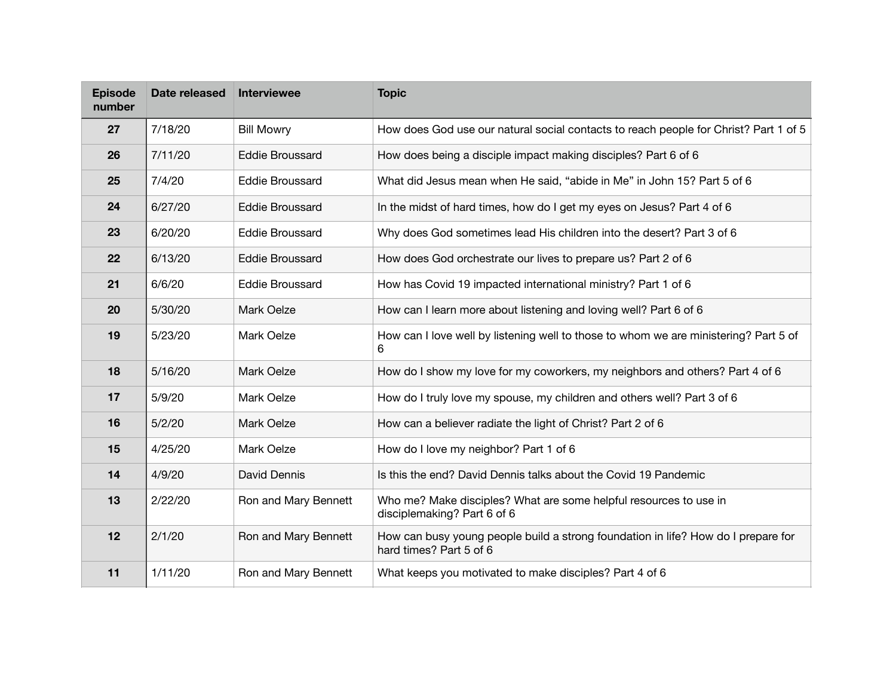| <b>Episode</b><br>number | Date released | Interviewee            | <b>Topic</b>                                                                                                 |
|--------------------------|---------------|------------------------|--------------------------------------------------------------------------------------------------------------|
| 27                       | 7/18/20       | <b>Bill Mowry</b>      | How does God use our natural social contacts to reach people for Christ? Part 1 of 5                         |
| 26                       | 7/11/20       | <b>Eddie Broussard</b> | How does being a disciple impact making disciples? Part 6 of 6                                               |
| 25                       | 7/4/20        | <b>Eddie Broussard</b> | What did Jesus mean when He said, "abide in Me" in John 15? Part 5 of 6                                      |
| 24                       | 6/27/20       | <b>Eddie Broussard</b> | In the midst of hard times, how do I get my eyes on Jesus? Part 4 of 6                                       |
| 23                       | 6/20/20       | <b>Eddie Broussard</b> | Why does God sometimes lead His children into the desert? Part 3 of 6                                        |
| 22                       | 6/13/20       | <b>Eddie Broussard</b> | How does God orchestrate our lives to prepare us? Part 2 of 6                                                |
| 21                       | 6/6/20        | <b>Eddie Broussard</b> | How has Covid 19 impacted international ministry? Part 1 of 6                                                |
| 20                       | 5/30/20       | Mark Oelze             | How can I learn more about listening and loving well? Part 6 of 6                                            |
| 19                       | 5/23/20       | Mark Oelze             | How can I love well by listening well to those to whom we are ministering? Part 5 of<br>6                    |
| 18                       | 5/16/20       | Mark Oelze             | How do I show my love for my coworkers, my neighbors and others? Part 4 of 6                                 |
| 17                       | 5/9/20        | Mark Oelze             | How do I truly love my spouse, my children and others well? Part 3 of 6                                      |
| 16                       | 5/2/20        | Mark Oelze             | How can a believer radiate the light of Christ? Part 2 of 6                                                  |
| 15                       | 4/25/20       | Mark Oelze             | How do I love my neighbor? Part 1 of 6                                                                       |
| 14                       | 4/9/20        | David Dennis           | Is this the end? David Dennis talks about the Covid 19 Pandemic                                              |
| 13                       | 2/22/20       | Ron and Mary Bennett   | Who me? Make disciples? What are some helpful resources to use in<br>disciplemaking? Part 6 of 6             |
| 12                       | 2/1/20        | Ron and Mary Bennett   | How can busy young people build a strong foundation in life? How do I prepare for<br>hard times? Part 5 of 6 |
| 11                       | 1/11/20       | Ron and Mary Bennett   | What keeps you motivated to make disciples? Part 4 of 6                                                      |